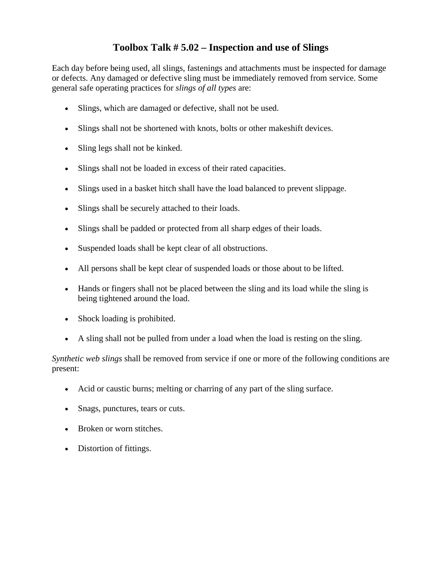## **Toolbox Talk # 5.02 – Inspection and use of Slings**

Each day before being used, all slings, fastenings and attachments must be inspected for damage or defects. Any damaged or defective sling must be immediately removed from service. Some general safe operating practices for *slings of all types* are:

- Slings, which are damaged or defective, shall not be used.
- Slings shall not be shortened with knots, bolts or other makeshift devices.
- Sling legs shall not be kinked.
- Slings shall not be loaded in excess of their rated capacities.
- Slings used in a basket hitch shall have the load balanced to prevent slippage.
- Slings shall be securely attached to their loads.
- Slings shall be padded or protected from all sharp edges of their loads.
- Suspended loads shall be kept clear of all obstructions.
- All persons shall be kept clear of suspended loads or those about to be lifted.
- Hands or fingers shall not be placed between the sling and its load while the sling is being tightened around the load.
- Shock loading is prohibited.
- A sling shall not be pulled from under a load when the load is resting on the sling.

*Synthetic web slings* shall be removed from service if one or more of the following conditions are present:

- Acid or caustic burns; melting or charring of any part of the sling surface.
- Snags, punctures, tears or cuts.
- Broken or worn stitches.
- Distortion of fittings.